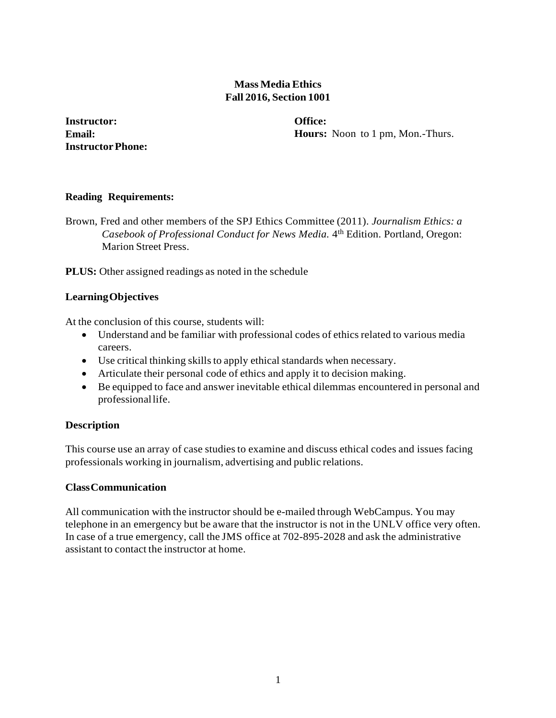# **Mass MediaEthics Fall 2016, Section 1001**

**Instructor: Email: InstructorPhone:** **Office: Hours:** Noon to 1 pm, Mon.-Thurs.

# **Reading Requirements:**

Brown, Fred and other members of the SPJ Ethics Committee (2011). *Journalism Ethics: a Casebook of Professional Conduct for News Media.* 4th Edition. Portland, Oregon: Marion Street Press.

**PLUS:** Other assigned readings as noted in the schedule

# **LearningObjectives**

At the conclusion of this course, students will:

- Understand and be familiar with professional codes of ethics related to various media careers.
- Use critical thinking skills to apply ethical standards when necessary.
- Articulate their personal code of ethics and apply it to decision making.
- Be equipped to face and answer inevitable ethical dilemmas encountered in personal and professionallife.

# **Description**

This course use an array of case studiesto examine and discuss ethical codes and issues facing professionals working in journalism, advertising and public relations.

# **ClassCommunication**

All communication with the instructor should be e-mailed through WebCampus. You may telephone in an emergency but be aware that the instructor is not in the UNLV office very often. In case of a true emergency, call the JMS office at 702-895-2028 and ask the administrative assistant to contact the instructor at home.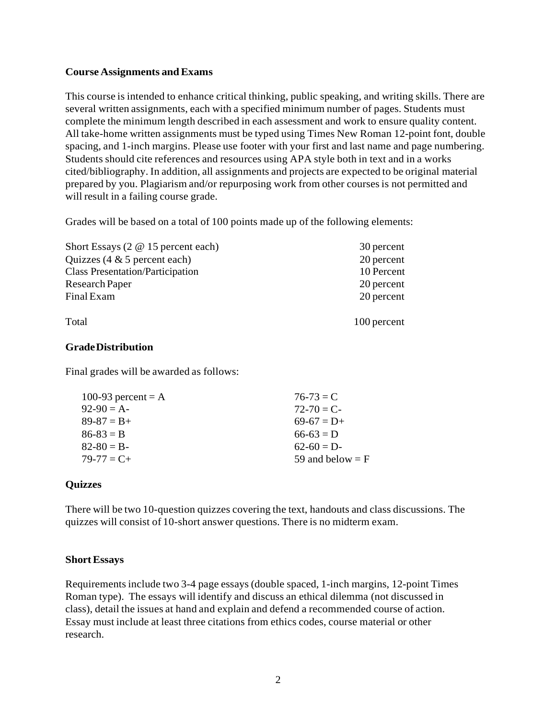# **Course Assignments and Exams**

This course is intended to enhance critical thinking, public speaking, and writing skills. There are several written assignments, each with a specified minimum number of pages. Students must complete the minimum length described in each assessment and work to ensure quality content. All take-home written assignments must be typed using Times New Roman 12-point font, double spacing, and 1-inch margins. Please use footer with your first and last name and page numbering. Students should cite references and resources using APA style both in text and in a works cited/bibliography. In addition, all assignments and projects are expected to be original material prepared by you. Plagiarism and/or repurposing work from other coursesis not permitted and will result in a failing course grade.

Grades will be based on a total of 100 points made up of the following elements:

| Short Essays $(2 \t@ 15$ percent each)  | 30 percent  |
|-----------------------------------------|-------------|
| Quizzes $(4 \& 5)$ percent each)        | 20 percent  |
| <b>Class Presentation/Participation</b> | 10 Percent  |
| Research Paper                          | 20 percent  |
| Final Exam                              | 20 percent  |
| Total                                   | 100 percent |

# **GradeDistribution**

Final grades will be awarded as follows:

| $76 - 73 = C$      |
|--------------------|
| $72 - 70 = C$      |
| $69-67 = D+$       |
| $66-63 = D$        |
| $62-60 = D$        |
| 59 and below $=$ F |
|                    |

# **Quizzes**

There will be two 10-question quizzes covering the text, handouts and class discussions. The quizzes will consist of 10-short answer questions. There is no midterm exam.

#### **ShortEssays**

Requirements include two 3-4 page essays (double spaced, 1-inch margins, 12-point Times Roman type). The essays will identify and discuss an ethical dilemma (not discussed in class), detail the issues at hand and explain and defend a recommended course of action. Essay must include at least three citations from ethics codes, course material or other research.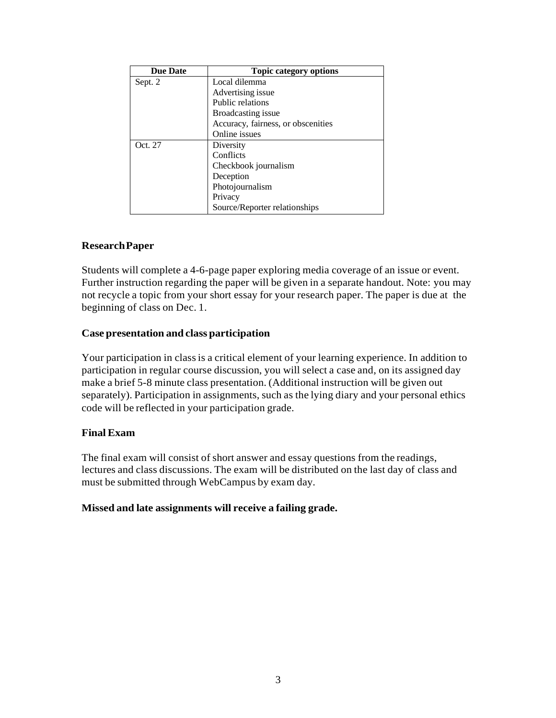| <b>Due Date</b> | <b>Topic category options</b>      |
|-----------------|------------------------------------|
| Sept. 2         | Local dilemma                      |
|                 | Advertising issue                  |
|                 | Public relations                   |
|                 | Broadcasting issue                 |
|                 | Accuracy, fairness, or obscenities |
|                 | Online issues                      |
| Oct. 27         | Diversity                          |
|                 | Conflicts                          |
|                 | Checkbook journalism               |
|                 | Deception                          |
|                 | Photojournalism                    |
|                 | Privacy                            |
|                 | Source/Reporter relationships      |

#### **ResearchPaper**

Students will complete a 4-6-page paper exploring media coverage of an issue or event. Further instruction regarding the paper will be given in a separate handout. Note: you may not recycle a topic from your short essay for your research paper. The paper is due at the beginning of class on Dec. 1.

#### **Case presentation and class participation**

Your participation in class is a critical element of your learning experience. In addition to participation in regular course discussion, you will select a case and, on its assigned day make a brief 5-8 minute class presentation. (Additional instruction will be given out separately). Participation in assignments, such as the lying diary and your personal ethics code will be reflected in your participation grade.

# **Final Exam**

The final exam will consist of short answer and essay questions from the readings, lectures and class discussions. The exam will be distributed on the last day of class and must be submitted through WebCampus by exam day.

#### **Missed and late assignments will receive a failing grade.**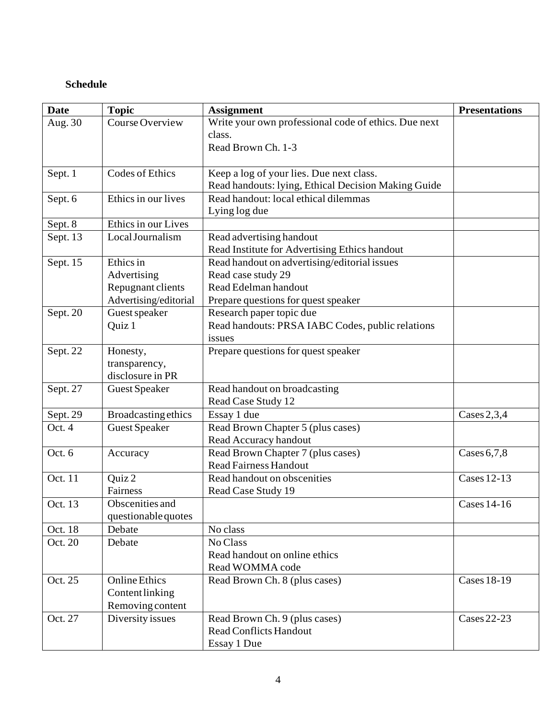# **Schedule**

| <b>Date</b> | <b>Topic</b>               | <b>Assignment</b>                                    | <b>Presentations</b> |
|-------------|----------------------------|------------------------------------------------------|----------------------|
| Aug. 30     | Course Overview            | Write your own professional code of ethics. Due next |                      |
|             |                            | class.                                               |                      |
|             |                            | Read Brown Ch. 1-3                                   |                      |
|             |                            |                                                      |                      |
| Sept. 1     | Codes of Ethics            | Keep a log of your lies. Due next class.             |                      |
|             |                            | Read handouts: lying, Ethical Decision Making Guide  |                      |
| Sept. 6     | Ethics in our lives        | Read handout: local ethical dilemmas                 |                      |
|             |                            | Lying log due                                        |                      |
| Sept. 8     | Ethics in our Lives        |                                                      |                      |
| Sept. 13    | Local Journalism           | Read advertising handout                             |                      |
|             |                            | Read Institute for Advertising Ethics handout        |                      |
| Sept. 15    | Ethics in                  | Read handout on advertising/editorial issues         |                      |
|             | Advertising                | Read case study 29                                   |                      |
|             | Repugnant clients          | Read Edelman handout                                 |                      |
|             | Advertising/editorial      | Prepare questions for quest speaker                  |                      |
| Sept. 20    | Guest speaker              | Research paper topic due                             |                      |
|             | Quiz 1                     | Read handouts: PRSA IABC Codes, public relations     |                      |
|             |                            | issues                                               |                      |
| Sept. 22    | Honesty,                   | Prepare questions for quest speaker                  |                      |
|             | transparency,              |                                                      |                      |
|             | disclosure in PR           |                                                      |                      |
| Sept. 27    | <b>Guest Speaker</b>       | Read handout on broadcasting                         |                      |
|             |                            | Read Case Study 12                                   |                      |
| Sept. $29$  | <b>Broadcasting ethics</b> | Essay 1 due                                          | Cases $2,3,4$        |
| Oct. 4      | <b>Guest Speaker</b>       | Read Brown Chapter 5 (plus cases)                    |                      |
|             |                            | Read Accuracy handout                                |                      |
| Oct. 6      | Accuracy                   | Read Brown Chapter 7 (plus cases)                    | Cases $6,7,8$        |
|             |                            | <b>Read Fairness Handout</b>                         |                      |
| Oct. 11     | Quiz 2                     | Read handout on obscenities                          | <b>Cases 12-13</b>   |
|             | Fairness                   | Read Case Study 19                                   |                      |
| Oct. 13     | Obscenities and            |                                                      | <b>Cases 14-16</b>   |
|             | questionable quotes        |                                                      |                      |
| Oct. 18     | Debate                     | No class                                             |                      |
| Oct. 20     | Debate                     | No Class                                             |                      |
|             |                            | Read handout on online ethics                        |                      |
|             |                            | Read WOMMA code                                      |                      |
| Oct. 25     | <b>Online Ethics</b>       | Read Brown Ch. 8 (plus cases)                        | <b>Cases 18-19</b>   |
|             | Content linking            |                                                      |                      |
|             | Removing content           |                                                      |                      |
| Oct. 27     | Diversity issues           | Read Brown Ch. 9 (plus cases)                        | <b>Cases 22-23</b>   |
|             |                            | <b>Read Conflicts Handout</b>                        |                      |
|             |                            | Essay 1 Due                                          |                      |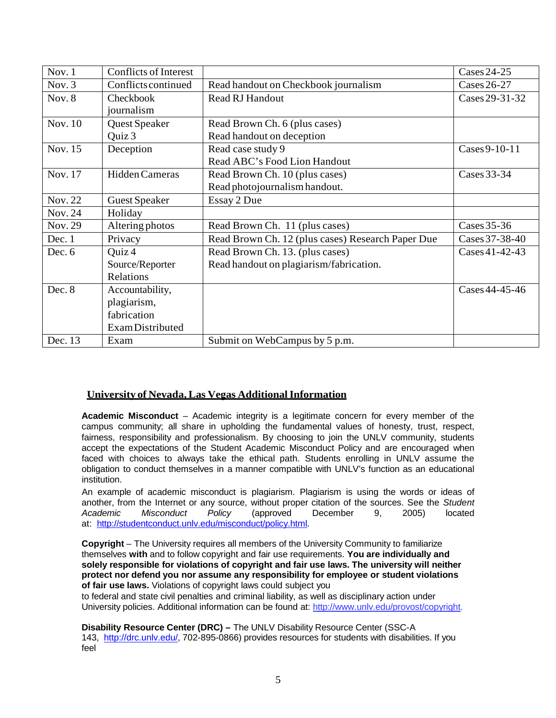| Nov. $1$ | <b>Conflicts of Interest</b> |                                                   | Cases 24-25    |
|----------|------------------------------|---------------------------------------------------|----------------|
| Nov. $3$ | <b>Conflicts continued</b>   | Read handout on Checkbook journalism              | Cases 26-27    |
| Nov. 8   | Checkbook                    | <b>Read RJ Handout</b>                            | Cases 29-31-32 |
|          | journalism                   |                                                   |                |
| Nov. 10  | Quest Speaker                | Read Brown Ch. 6 (plus cases)                     |                |
|          | Quiz 3                       | Read handout on deception                         |                |
| Nov. 15  | Deception                    | Read case study 9                                 | Cases 9-10-11  |
|          |                              | Read ABC's Food Lion Handout                      |                |
| Nov. 17  | Hidden Cameras               | Read Brown Ch. 10 (plus cases)                    | Cases 33-34    |
|          |                              | Read photojournalism handout.                     |                |
| Nov. 22  | <b>Guest Speaker</b>         | Essay 2 Due                                       |                |
| Nov. 24  | Holiday                      |                                                   |                |
| Nov. 29  | Altering photos              | Read Brown Ch. 11 (plus cases)                    | Cases $35-36$  |
| Dec. 1   | Privacy                      | Read Brown Ch. 12 (plus cases) Research Paper Due | Cases 37-38-40 |
| Dec. 6   | Quiz 4                       | Read Brown Ch. 13. (plus cases)                   | Cases 41-42-43 |
|          | Source/Reporter              | Read handout on plagiarism/fabrication.           |                |
|          | Relations                    |                                                   |                |
| Dec. 8   | Accountability,              |                                                   | Cases 44-45-46 |
|          | plagiarism,                  |                                                   |                |
|          | fabrication                  |                                                   |                |
|          | Exam Distributed             |                                                   |                |
| Dec. 13  | Exam                         | Submit on WebCampus by 5 p.m.                     |                |

#### **University of Nevada,Las Vegas AdditionalInformation**

**Academic Misconduct** – Academic integrity is a legitimate concern for every member of the campus community; all share in upholding the fundamental values of honesty, trust, respect, fairness, responsibility and professionalism. By choosing to join the UNLV community, students accept the expectations of the Student Academic Misconduct Policy and are encouraged when faced with choices to always take the ethical path. Students enrolling in UNLV assume the obligation to conduct themselves in a manner compatible with UNLV's function as an educational institution.

An example of academic misconduct is plagiarism. Plagiarism is using the words or ideas of another, from the Internet or any source, without proper citation of the sources. See the *Student Academic Misconduct Policy* (approved December 9, 2005) located at: [http://studentconduct.unlv.edu/misconduct/policy.html.](http://studentconduct.unlv.edu/misconduct/policy.html)

**Copyright** – The University requires all members of the University Community to familiarize themselves **with** and to follow copyright and fair use requirements. **You are individually and solely responsible for violations of copyright and fair use laws. The university will neither protect nor defend you nor assume any responsibility for employee or student violations of fair use laws.** Violations of copyright laws could subject you

to federal and state civil penalties and criminal liability, as well as disciplinary action under University policies. Additional information can be found at: [http://www.unlv.edu/provost/copyright.](http://www.unlv.edu/provost/copyright)

**Disability Resource Center (DRC) –** The UNLV Disability Resource Center (SSC-A 143, [http://drc.unlv.edu/,](http://drc.unlv.edu/) 702-895-0866) provides resources for students with disabilities. If you feel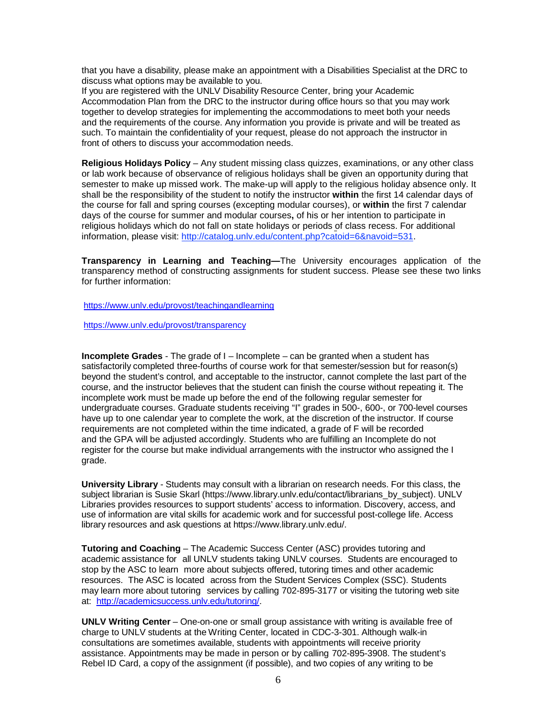that you have a disability, please make an appointment with a Disabilities Specialist at the DRC to discuss what options may be available to you.

If you are registered with the UNLV Disability Resource Center, bring your Academic Accommodation Plan from the DRC to the instructor during office hours so that you may work together to develop strategies for implementing the accommodations to meet both your needs and the requirements of the course. Any information you provide is private and will be treated as such. To maintain the confidentiality of your request, please do not approach the instructor in front of others to discuss your accommodation needs.

**Religious Holidays Policy** – Any student missing class quizzes, examinations, or any other class or lab work because of observance of religious holidays shall be given an opportunity during that semester to make up missed work. The make-up will apply to the religious holiday absence only. It shall be the responsibility of the student to notify the instructor **within** the first 14 calendar days of the course for fall and spring courses (excepting modular courses), or **within** the first 7 calendar days of the course for summer and modular courses**,** of his or her intention to participate in religious holidays which do not fall on state holidays or periods of class recess. For additional information, please visit: [http://catalog.unlv.edu/content.php?catoid=6&navoid=531.](http://catalog.unlv.edu/content.php?catoid=6&navoid=531)

**Transparency in Learning and Teaching—**The University encourages application of the transparency method of constructing assignments for student success. Please see these two links for further information:

<https://www.unlv.edu/provost/teachingandlearning>

<https://www.unlv.edu/provost/transparency>

**Incomplete Grades** - The grade of I – Incomplete – can be granted when a student has satisfactorily completed three-fourths of course work for that semester/session but for reason(s) beyond the student's control, and acceptable to the instructor, cannot complete the last part of the course, and the instructor believes that the student can finish the course without repeating it. The incomplete work must be made up before the end of the following regular semester for undergraduate courses. Graduate students receiving "I" grades in 500-, 600-, or 700-level courses have up to one calendar year to complete the work, at the discretion of the instructor. If course requirements are not completed within the time indicated, a grade of F will be recorded and the GPA will be adjusted accordingly. Students who are fulfilling an Incomplete do not register for the course but make individual arrangements with the instructor who assigned the I grade.

**University Library** - Students may consult with a librarian on research needs. For this class, the subject librarian is Susie Skarl [\(https://www.library.unlv.edu/contact/librarians\\_by\\_subject\)](https://www.library.unlv.edu/contact/librarians_by_subject). UNLV Libraries provides resources to support students' access to information. Discovery, access, and use of information are vital skills for academic work and for successful post-college life. Access library resources and ask questions at [https://www.library.unlv.edu/.](https://www.library.unlv.edu/)

**Tutoring and Coaching** – The Academic Success Center (ASC) provides tutoring and academic assistance for all UNLV students taking UNLV courses. Students are encouraged to stop by the ASC to learn more about subjects offered, tutoring times and other academic resources. The ASC is located across from the Student Services Complex (SSC). Students may learn more about tutoring services by calling 702-895-3177 or visiting the tutoring web site at: [http://academicsuccess.unlv.edu/tutoring/.](http://academicsuccess.unlv.edu/tutoring/)

**UNLV Writing Center** – One-on-one or small group assistance with writing is available free of charge to UNLV students at the Writing Center, located in CDC-3-301. Although walk-in consultations are sometimes available, students with appointments will receive priority assistance. Appointments may be made in person or by calling 702-895-3908. The student's Rebel ID Card, a copy of the assignment (if possible), and two copies of any writing to be